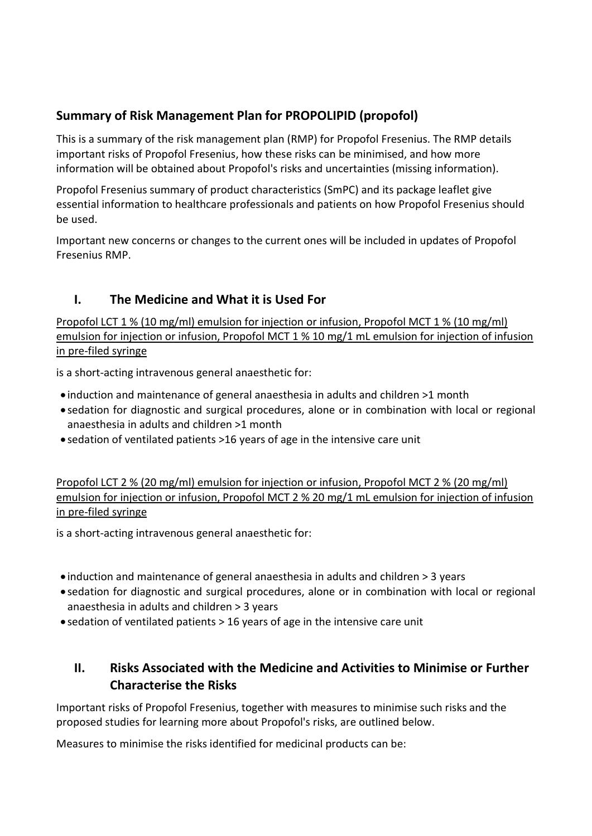# Summary of Risk Management Plan for PROPOLIPID (propofol)

This is a summary of the risk management plan (RMP) for Propofol Fresenius. The RMP details important risks of Propofol Fresenius, how these risks can be minimised, and how more information will be obtained about Propofol's risks and uncertainties (missing information).

Propofol Fresenius summary of product characteristics (SmPC) and its package leaflet give essential information to healthcare professionals and patients on how Propofol Fresenius should be used.

Important new concerns or changes to the current ones will be included in updates of Propofol Fresenius RMP.

# I. The Medicine and What it is Used For

Propofol LCT 1 % (10 mg/ml) emulsion for injection or infusion, Propofol MCT 1 % (10 mg/ml) emulsion for injection or infusion, Propofol MCT 1 % 10 mg/1 mL emulsion for injection of infusion in pre-filed syringe

is a short-acting intravenous general anaesthetic for:

- induction and maintenance of general anaesthesia in adults and children >1 month
- sedation for diagnostic and surgical procedures, alone or in combination with local or regional anaesthesia in adults and children >1 month
- sedation of ventilated patients >16 years of age in the intensive care unit

Propofol LCT 2 % (20 mg/ml) emulsion for injection or infusion, Propofol MCT 2 % (20 mg/ml) emulsion for injection or infusion, Propofol MCT 2 % 20 mg/1 mL emulsion for injection of infusion in pre-filed syringe

is a short-acting intravenous general anaesthetic for:

- induction and maintenance of general anaesthesia in adults and children > 3 years
- sedation for diagnostic and surgical procedures, alone or in combination with local or regional anaesthesia in adults and children > 3 years
- sedation of ventilated patients > 16 years of age in the intensive care unit

## II. Risks Associated with the Medicine and Activities to Minimise or Further Characterise the Risks

Important risks of Propofol Fresenius, together with measures to minimise such risks and the proposed studies for learning more about Propofol's risks, are outlined below.

Measures to minimise the risks identified for medicinal products can be: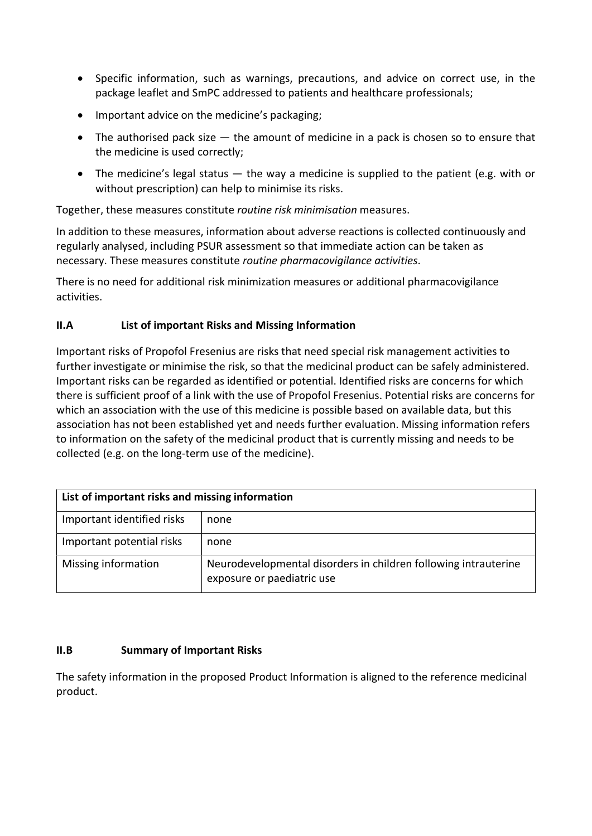- Specific information, such as warnings, precautions, and advice on correct use, in the package leaflet and SmPC addressed to patients and healthcare professionals;
- Important advice on the medicine's packaging;
- $\bullet$  The authorised pack size  $-$  the amount of medicine in a pack is chosen so to ensure that the medicine is used correctly;
- The medicine's legal status  $-$  the way a medicine is supplied to the patient (e.g. with or without prescription) can help to minimise its risks.

Together, these measures constitute routine risk minimisation measures.

In addition to these measures, information about adverse reactions is collected continuously and regularly analysed, including PSUR assessment so that immediate action can be taken as necessary. These measures constitute routine pharmacovigilance activities.

There is no need for additional risk minimization measures or additional pharmacovigilance activities.

### II.A List of important Risks and Missing Information

Important risks of Propofol Fresenius are risks that need special risk management activities to further investigate or minimise the risk, so that the medicinal product can be safely administered. Important risks can be regarded as identified or potential. Identified risks are concerns for which there is sufficient proof of a link with the use of Propofol Fresenius. Potential risks are concerns for which an association with the use of this medicine is possible based on available data, but this association has not been established yet and needs further evaluation. Missing information refers to information on the safety of the medicinal product that is currently missing and needs to be collected (e.g. on the long-term use of the medicine).

| List of important risks and missing information |                                                                                               |
|-------------------------------------------------|-----------------------------------------------------------------------------------------------|
| Important identified risks                      | none                                                                                          |
| Important potential risks                       | none                                                                                          |
| Missing information                             | Neurodevelopmental disorders in children following intrauterine<br>exposure or paediatric use |

#### II.B Summary of Important Risks

The safety information in the proposed Product Information is aligned to the reference medicinal product.